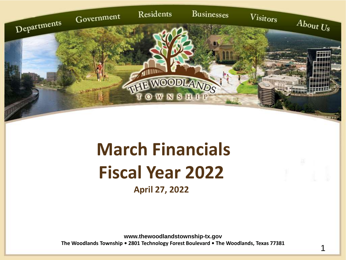

## **March Financials Fiscal Year 2022**

**April 27, 2022**

**www.thewoodlandstownship-tx.gov The Woodlands Township • 2801 Technology Forest Boulevard • The Woodlands, Texas 77381**

1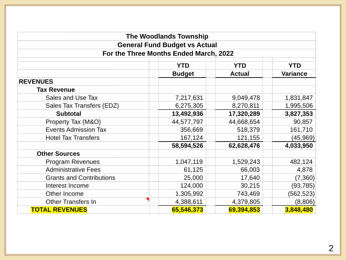|                                        | <b>The Woodlands Township</b>        |               |                 |  |  |  |  |  |  |  |
|----------------------------------------|--------------------------------------|---------------|-----------------|--|--|--|--|--|--|--|
|                                        | <b>General Fund Budget vs Actual</b> |               |                 |  |  |  |  |  |  |  |
| For the Three Months Ended March, 2022 |                                      |               |                 |  |  |  |  |  |  |  |
| <b>YTD</b><br><b>YTD</b><br><b>YTD</b> |                                      |               |                 |  |  |  |  |  |  |  |
|                                        | <b>Budget</b>                        | <b>Actual</b> | <b>Variance</b> |  |  |  |  |  |  |  |
| <b>REVENUES</b>                        |                                      |               |                 |  |  |  |  |  |  |  |
| <b>Tax Revenue</b>                     |                                      |               |                 |  |  |  |  |  |  |  |
| Sales and Use Tax                      | 7,217,631                            | 9,049,478     | 1,831,847       |  |  |  |  |  |  |  |
| Sales Tax Transfers (EDZ)              | 6,275,305                            | 8,270,811     | 1,995,506       |  |  |  |  |  |  |  |
| <b>Subtotal</b>                        | 13,492,936                           | 17,320,289    | 3,827,353       |  |  |  |  |  |  |  |
| Property Tax (M&O)                     | 44,577,797                           | 44,668,654    | 90,857          |  |  |  |  |  |  |  |
| <b>Events Admission Tax</b>            | 356,669                              | 518,379       | 161,710         |  |  |  |  |  |  |  |
| <b>Hotel Tax Transfers</b>             | 167,124                              | 121,155       | (45, 969)       |  |  |  |  |  |  |  |
|                                        | 58,594,526                           | 62,628,476    | 4,033,950       |  |  |  |  |  |  |  |
| <b>Other Sources</b>                   |                                      |               |                 |  |  |  |  |  |  |  |
| <b>Program Revenues</b>                | 1,047,119                            | 1,529,243     | 482,124         |  |  |  |  |  |  |  |
| <b>Administrative Fees</b>             | 61,125                               | 66,003        | 4,878           |  |  |  |  |  |  |  |
| <b>Grants and Contributions</b>        | 25,000                               | 17,640        | (7, 360)        |  |  |  |  |  |  |  |
| Interest Income                        | 124,000                              | 30,215        | (93, 785)       |  |  |  |  |  |  |  |
| Other Income                           | 1,305,992                            | 743,469       | (562, 523)      |  |  |  |  |  |  |  |
| <b>Other Transfers In</b>              | 4,388,611                            | 4,379,805     | (8,806)         |  |  |  |  |  |  |  |
| <b>TOTAL REVENUES</b>                  | 65,546,373                           | 69,394,853    | 3,848,480       |  |  |  |  |  |  |  |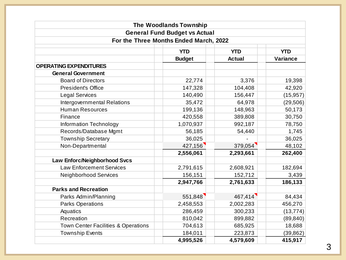|                                        | <b>The Woodlands Township</b>        |               |                 |  |  |  |  |  |  |  |
|----------------------------------------|--------------------------------------|---------------|-----------------|--|--|--|--|--|--|--|
|                                        | <b>General Fund Budget vs Actual</b> |               |                 |  |  |  |  |  |  |  |
| For the Three Months Ended March, 2022 |                                      |               |                 |  |  |  |  |  |  |  |
| <b>YTD</b><br><b>YTD</b><br><b>YTD</b> |                                      |               |                 |  |  |  |  |  |  |  |
|                                        | <b>Budget</b>                        | <b>Actual</b> | <b>Variance</b> |  |  |  |  |  |  |  |
| <b>OPERATING EXPENDITURES</b>          |                                      |               |                 |  |  |  |  |  |  |  |
| <b>General Government</b>              |                                      |               |                 |  |  |  |  |  |  |  |
| <b>Board of Directors</b>              | 22,774                               | 3,376         | 19,398          |  |  |  |  |  |  |  |
| <b>President's Office</b>              | 147,328                              | 104,408       | 42,920          |  |  |  |  |  |  |  |
| <b>Legal Services</b>                  | 140,490                              | 156,447       | (15, 957)       |  |  |  |  |  |  |  |
| Intergovernmental Relations            | 35,472                               | 64,978        | (29, 506)       |  |  |  |  |  |  |  |
| <b>Human Resources</b>                 | 199,136                              | 148,963       | 50,173          |  |  |  |  |  |  |  |
| Finance                                | 420,558                              | 389,808       | 30,750          |  |  |  |  |  |  |  |
| Information Technology                 | 1,070,937                            | 992,187       | 78,750          |  |  |  |  |  |  |  |
| Records/Database Mgmt                  | 56,185                               | 54,440        | 1,745           |  |  |  |  |  |  |  |
| <b>Township Secretary</b>              | 36,025                               |               | 36,025          |  |  |  |  |  |  |  |
| Non-Departmental                       | 427,156                              | 379,054       | 48,102          |  |  |  |  |  |  |  |
|                                        | 2,556,061                            | 2,293,661     | 262,400         |  |  |  |  |  |  |  |
| Law Enforc/Neighborhood Svcs           |                                      |               |                 |  |  |  |  |  |  |  |
| <b>Law Enforcement Services</b>        | 2,791,615                            | 2,608,921     | 182,694         |  |  |  |  |  |  |  |
| <b>Neighborhood Services</b>           | 156,151                              | 152,712       | 3,439           |  |  |  |  |  |  |  |
|                                        | 2,947,766                            | 2,761,633     | 186,133         |  |  |  |  |  |  |  |
| <b>Parks and Recreation</b>            |                                      |               |                 |  |  |  |  |  |  |  |
| Parks Admin/Planning                   | 551,848                              | 467,414       | 84,434          |  |  |  |  |  |  |  |
| <b>Parks Operations</b>                | 2,458,553                            | 2,002,283     | 456,270         |  |  |  |  |  |  |  |
| Aquatics                               | 286,459                              | 300,233       | (13, 774)       |  |  |  |  |  |  |  |
| Recreation                             | 810,042                              | 899,882       | (89, 840)       |  |  |  |  |  |  |  |
| Town Center Facilities & Operations    | 704,613                              | 685,925       | 18,688          |  |  |  |  |  |  |  |
| <b>Township Events</b>                 | 184,011                              | 223,873       | (39, 862)       |  |  |  |  |  |  |  |
|                                        | 4,995,526                            | 4,579,609     | 415,917         |  |  |  |  |  |  |  |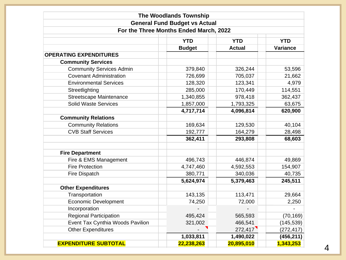|                                  | <b>The Woodlands Township</b>          |               |                 |
|----------------------------------|----------------------------------------|---------------|-----------------|
|                                  | <b>General Fund Budget vs Actual</b>   |               |                 |
|                                  | For the Three Months Ended March, 2022 |               |                 |
|                                  | <b>YTD</b>                             | <b>YTD</b>    | <b>YTD</b>      |
|                                  | <b>Budget</b>                          | <b>Actual</b> | <b>Variance</b> |
| <b>OPERATING EXPENDITURES</b>    |                                        |               |                 |
| <b>Community Services</b>        |                                        |               |                 |
| <b>Community Services Admin</b>  | 379,840                                | 326,244       | 53,596          |
| <b>Covenant Administration</b>   | 726,699                                | 705,037       | 21,662          |
| <b>Environmental Services</b>    | 128,320                                | 123,341       | 4,979           |
| Streetlighting                   | 285,000                                | 170,449       | 114,551         |
| <b>Streetscape Maintenance</b>   | 1,340,855                              | 978,418       | 362,437         |
| <b>Solid Waste Services</b>      | 1,857,000                              | 1,793,325     | 63,675          |
|                                  | 4,717,714                              | 4,096,814     | 620,900         |
| <b>Community Relations</b>       |                                        |               |                 |
| <b>Community Relations</b>       | 169,634                                | 129,530       | 40,104          |
| <b>CVB Staff Services</b>        | 192,777                                | 164,279       | 28,498          |
|                                  | 362,411                                | 293,808       | 68,603          |
| <b>Fire Department</b>           |                                        |               |                 |
| Fire & EMS Management            | 496,743                                | 446,874       | 49,869          |
| <b>Fire Protection</b>           | 4,747,460                              | 4,592,553     | 154,907         |
| <b>Fire Dispatch</b>             | 380,771                                | 340,036       | 40,735          |
|                                  | 5,624,974                              | 5,379,463     | 245,511         |
| <b>Other Expenditures</b>        |                                        |               |                 |
| Transportation                   | 143,135                                | 113,471       | 29,664          |
| Economic Development             | 74,250                                 | 72,000        | 2,250           |
| Incorporation                    |                                        |               |                 |
| <b>Regional Participation</b>    | 495,424                                | 565,593       | (70, 169)       |
| Event Tax Cynthia Woods Pavilion | 321,002                                | 466,541       | (145, 539)      |
| <b>Other Expenditures</b>        |                                        | 272,417       | (272, 417)      |
|                                  | 1,033,811                              | 1,490,022     | (456, 211)      |
| <b>EXPENDITURE SUBTOTAL</b>      | 22,238,263                             | 20,895,010    | 1,343,253       |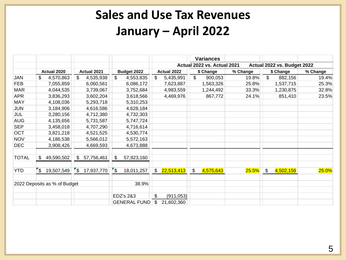## **Sales and Use Tax Revenues January – April 2022**

|                              |                            |                   |                     |                  | <b>Variances</b>                       |          |                             |              |  |
|------------------------------|----------------------------|-------------------|---------------------|------------------|----------------------------------------|----------|-----------------------------|--------------|--|
|                              |                            |                   |                     |                  | Actual 2022 vs. Actual 2021            |          | Actual 2022 vs. Budget 2022 |              |  |
|                              | Actual 2020                | Actual 2021       | Budget 2022         | Actual 2022      | \$ Change                              | % Change | \$ Change                   | % Change     |  |
| JAN                          | \$<br>4,570,863            | \$<br>4,535,938   | \$<br>4,553,835     | \$<br>5,435,991  | \$<br>900,053                          | 19.8%    | \$<br>882,156               | 19.4%        |  |
| <b>FEB</b>                   | 7,055,859                  | 6,060,561         | 6,086,172           | 7,623,887        | 1,563,326                              | 25.8%    | 1,537,715                   | 25.3%        |  |
| <b>MAR</b>                   | 4,044,535                  | 3,739,067         | 3,752,684           | 4,983,559        | 1,244,492                              | 33.3%    | 1,230,875                   | 32.8%        |  |
| <b>APR</b>                   | 3,836,293                  | 3,602,204         | 3,618,566           | 4,469,976        | 867,772                                | 24.1%    | 851,410                     | 23.5%        |  |
| <b>MAY</b>                   | 4,108,036                  | 5,293,718         | 5,310,253           |                  |                                        |          |                             |              |  |
| <b>JUN</b>                   | 3,184,906                  | 4,616,586         | 4,628,184           |                  |                                        |          |                             |              |  |
| JUL                          | 3,280,156                  | 4,712,380         | 4,732,303           |                  |                                        |          |                             |              |  |
| <b>AUG</b>                   | 4,135,656                  | 5,731,587         | 5,747,724           |                  |                                        |          |                             |              |  |
| <b>SEP</b>                   | 3,458,018                  | 4,707,290         | 4,716,614           |                  |                                        |          |                             |              |  |
| <b>OCT</b>                   | 3,821,218                  | 4,521,525         | 4,530,774           |                  |                                        |          |                             |              |  |
| <b>NOV</b>                   | 4,186,538                  | 5,566,012         | 5,572,163           |                  |                                        |          |                             |              |  |
| <b>DEC</b>                   | 3,908,426                  | 4,669,593         | 4,673,888           |                  |                                        |          |                             |              |  |
| <b>TOTAL</b>                 | \$<br>49,590,502           | 57,756,461<br>\$  | \$<br>57,923,160    |                  |                                        |          |                             |              |  |
| <b>YTD</b>                   | $\mathbf{S}$<br>19,507,549 | Γ\$<br>17,937,770 | "\$<br>18,011,257   | \$22,513,413     | 4,575,643<br>$\boldsymbol{\mathsf{S}}$ | $25.5\%$ | \$<br>4,502,156             | <b>25.0%</b> |  |
| 2022 Deposits as % of Budget |                            |                   | 38.9%               |                  |                                        |          |                             |              |  |
|                              |                            |                   | EDZ's 2&3           | \$<br>(911, 053) |                                        |          |                             |              |  |
|                              |                            |                   | <b>GENERAL FUND</b> | \$<br>21,602,360 |                                        |          |                             |              |  |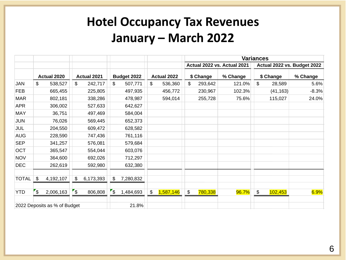## **Hotel Occupancy Tax Revenues January – March 2022**

|                              |            |             |                          |             |                          |             |                 | <b>Variances</b> |           |                             |               |           |                             |  |
|------------------------------|------------|-------------|--------------------------|-------------|--------------------------|-------------|-----------------|------------------|-----------|-----------------------------|---------------|-----------|-----------------------------|--|
|                              |            |             |                          |             |                          |             |                 |                  |           | Actual 2022 vs. Actual 2021 |               |           | Actual 2022 vs. Budget 2022 |  |
|                              |            | Actual 2020 |                          | Actual 2021 |                          | Budget 2022 | Actual 2022     |                  | \$ Change | % Change                    |               | \$ Change | % Change                    |  |
| <b>JAN</b>                   | \$         | 538,527     | $\mathfrak{L}$           | 242,717     | \$                       | 507,771     | \$<br>536,360   | \$               | 293,642   | 121.0%                      | \$            | 28,589    | 5.6%                        |  |
| <b>FEB</b>                   |            | 665,455     |                          | 225,805     |                          | 497,935     | 456,772         |                  | 230,967   | 102.3%                      |               | (41, 163) | $-8.3%$                     |  |
| <b>MAR</b>                   |            | 802,181     |                          | 338,286     |                          | 478,987     | 594,014         |                  | 255,728   | 75.6%                       |               | 115,027   | 24.0%                       |  |
| <b>APR</b>                   |            | 306,002     |                          | 527,633     |                          | 642,627     |                 |                  |           |                             |               |           |                             |  |
| <b>MAY</b>                   |            | 36,751      |                          | 497,469     |                          | 584,004     |                 |                  |           |                             |               |           |                             |  |
| <b>JUN</b>                   |            | 76,026      |                          | 569,445     |                          | 652,373     |                 |                  |           |                             |               |           |                             |  |
| JUL                          |            | 204,550     |                          | 609,472     |                          | 628,582     |                 |                  |           |                             |               |           |                             |  |
| <b>AUG</b>                   |            | 228,590     |                          | 747,436     |                          | 761,116     |                 |                  |           |                             |               |           |                             |  |
| <b>SEP</b>                   |            | 341,257     |                          | 576,081     |                          | 579,684     |                 |                  |           |                             |               |           |                             |  |
| OCT                          |            | 365,547     |                          | 554,044     |                          | 603,076     |                 |                  |           |                             |               |           |                             |  |
| <b>NOV</b>                   |            | 364,600     |                          | 692,026     |                          | 712,297     |                 |                  |           |                             |               |           |                             |  |
| <b>DEC</b>                   |            | 262,619     |                          | 592,980     |                          | 632,380     |                 |                  |           |                             |               |           |                             |  |
| <b>TOTAL</b>                 | \$         | 4,192,107   | $\mathfrak{P}$           | 6,173,393   | \$                       | 7,280,832   |                 |                  |           |                             |               |           |                             |  |
|                              |            |             |                          |             |                          |             |                 |                  |           |                             |               |           |                             |  |
| <b>YTD</b>                   | $\sqrt{3}$ | 2,006,163   | $\overline{\mathcal{S}}$ | 806,808     | $\overline{\mathcal{L}}$ | 1,484,693   | \$<br>1,587,146 | $\frac{1}{2}$    | 780,338   | 96.7%                       | $\frac{1}{2}$ | 102,453   | 6.9%                        |  |
| 2022 Deposits as % of Budget |            |             | 21.8%                    |             |                          |             |                 |                  |           |                             |               |           |                             |  |